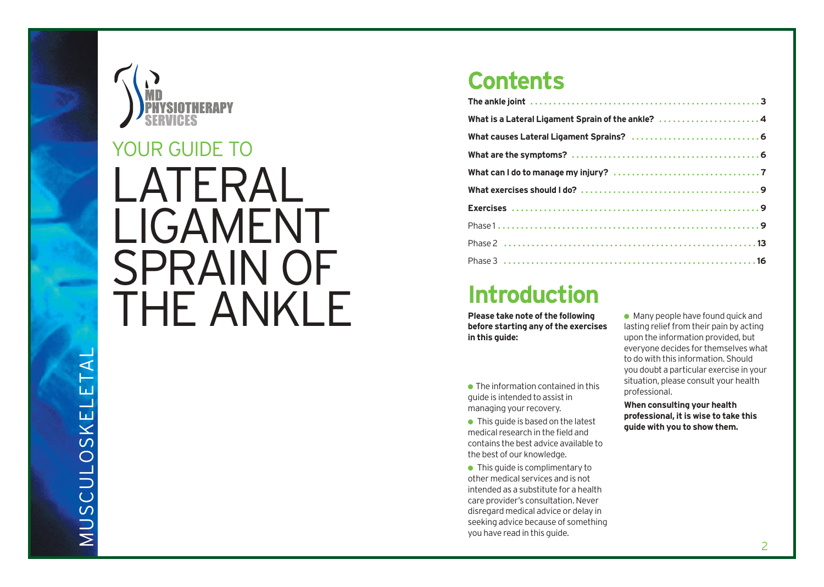



# LATERAL LIGAMENT SPRAIN OF THE ANKLE YOUR GUIDE TO

### **Contents**

| What is a Lateral Ligament Sprain of the ankle? 4 |
|---------------------------------------------------|
|                                                   |
|                                                   |
|                                                   |
|                                                   |
|                                                   |
|                                                   |
|                                                   |
|                                                   |

### **Introduction**

**Please take note of the following before starting any of the exercises in this guide:**

 $\bullet$  The information contained in this guide is intended to assist in managing your recovery.

 $\bullet$  This quide is based on the latest medical research in the field and contains the best advice available to the best of our knowledge.

● This quide is complimentary to other medical services and is not intended as a substitute for a health care provider's consultation. Never disregard medical advice or delay in seeking advice because of something you have read in this guide.

 $\bullet$  Many people have found quick and lasting relief from their pain by acting upon the information provided, but everyone decides for themselves what to do with this information. Should you doubt a particular exercise in your situation, please consult your health professional.

**When consulting your health professional, it is wise to take this guide with you to show them.**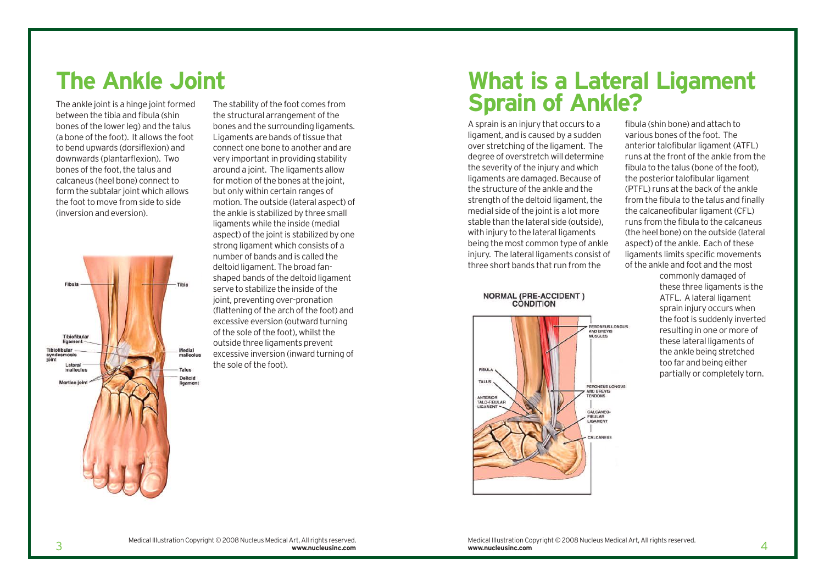### **The Ankle Joint**

The ankle joint is a hinge joint formed between the tibia and fibula (shin bones of the lower leg) and the talus (a bone of the foot). It allows the foot to bend upwards (dorsiflexion) and downwards (plantarflexion). Two bones of the foot, the talus and calcaneus (heel bone) connect to form the subtalar joint which allows the foot to move from side to side (inversion and eversion).



The stability of the foot comes from the structural arrangement of the bones and the surrounding ligaments. Ligaments are bands of tissue that connect one bone to another and are very important in providing stability around a joint. The ligaments allow for motion of the bones at the joint, but only within certain ranges of motion. The outside (lateral aspect) of the ankle is stabilized by three small ligaments while the inside (medial aspect) of the joint is stabilized by one strong ligament which consists of a number of bands and is called the deltoid ligament. The broad fanshaped bands of the deltoid ligament serve to stabilize the inside of the joint, preventing over-pronation (flattening of the arch of the foot) and excessive eversion (outward turning of the sole of the foot), whilst the outside three ligaments prevent excessive inversion (inward turning of the sole of the foot).

### **What is a Lateral Ligament Sprain of Ankle?**

A sprain is an injury that occurs to a ligament, and is caused by a sudden over stretching of the ligament. The degree of overstretch will determine the severity of the injury and which ligaments are damaged. Because of the structure of the ankle and the strength of the deltoid ligament, the medial side of the joint is a lot more stable than the lateral side (outside), with injury to the lateral ligaments being the most common type of ankle injury. The lateral ligaments consist of three short bands that run from the

**NORMAL (PRE-ACCIDENT) CONDITION** 



fibula (shin bone) and attach to various bones of the foot. The anterior talofibular ligament (ATFL) runs at the front of the ankle from the fibula to the talus (bone of the foot), the posterior talofibular ligament (PTFL) runs at the back of the ankle from the fibula to the talus and finally the calcaneofibular ligament (CFL) runs from the fibula to the calcaneus (the heel bone) on the outside (lateral aspect) of the ankle. Each of these ligaments limits specific movements of the ankle and foot and the most

> commonly damaged of these three ligaments is the ATFL. A lateral ligament sprain injury occurs when the foot is suddenly inverted resulting in one or more of these lateral ligaments of the ankle being stretched too far and being either partially or completely torn.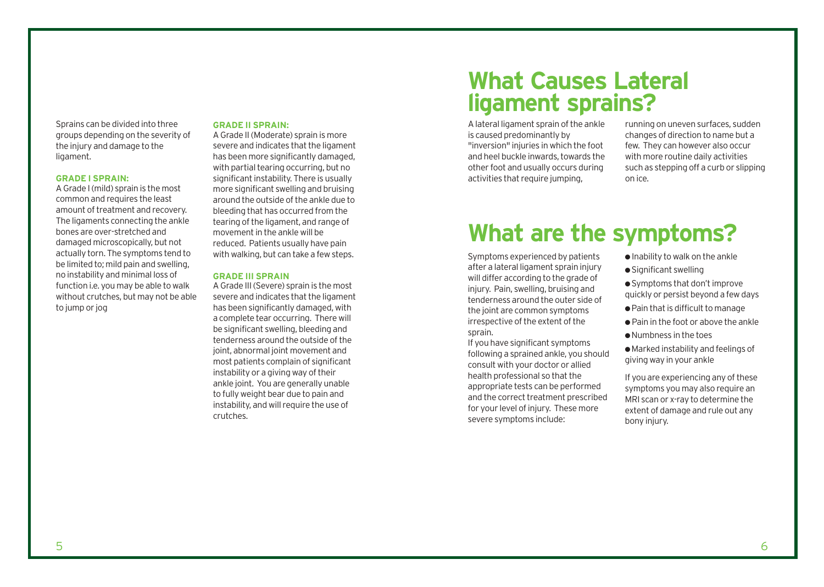Sprains can be divided into three groups depending on the severity of the injury and damage to the ligament.

#### **GRADE I SPRAIN:**

A Grade I (mild) sprain is the most common and requires the least amount of treatment and recovery. The ligaments connecting the ankle bones are over-stretched and damaged microscopically, but not actually torn. The symptoms tend to be limited to; mild pain and swelling, no instability and minimal loss of function i.e. you may be able to walk without crutches, but may not be able to jump or jog

#### **GRADE II SPRAIN:**

A Grade II (Moderate) sprain is more severe and indicates that the ligament has been more significantly damaged, with partial tearing occurring, but no significant instability. There is usually more significant swelling and bruising around the outside of the ankle due to bleeding that has occurred from the tearing of the ligament, and range of movement in the ankle will be reduced. Patients usually have pain with walking, but can take a few steps.

#### **GRADE III SPRAIN**

A Grade III (Severe) sprain is the most severe and indicates that the ligament has been significantly damaged, with a complete tear occurring. There will be significant swelling, bleeding and tenderness around the outside of the joint, abnormal joint movement and most patients complain of significant instability or a giving way of their ankle joint. You are generally unable to fully weight bear due to pain and instability, and will require the use of crutches.

### **What Causes Lateral ligament sprains?**

A lateral ligament sprain of the ankle is caused predominantly by "inversion" injuries in which the foot and heel buckle inwards, towards the other foot and usually occurs during activities that require jumping.

running on uneven surfaces, sudden changes of direction to name but a few. They can however also occur with more routine daily activities such as stepping off a curb or slipping on ice.

### **What are the symptoms?**

Symptoms experienced by patients after a lateral ligament sprain injury will differ according to the grade of injury. Pain, swelling, bruising and tenderness around the outer side of the joint are common symptoms irrespective of the extent of the sprain.

If you have significant symptoms following a sprained ankle, you should consult with your doctor or allied health professional so that the appropriate tests can be performed and the correct treatment prescribed for your level of injury. These more severe symptoms include:

- $\bullet$  Inability to walk on the ankle
- Significant swelling
- Symptoms that don't improve quickly or persist beyond a few days
- Pain that is difficult to manage
- Pain in the foot or above the ankle
- Numbness in the toes

● Marked instability and feelings of giving way in your ankle

If you are experiencing any of these symptoms you may also require an MRI scan or x-ray to determine the extent of damage and rule out any bony injury.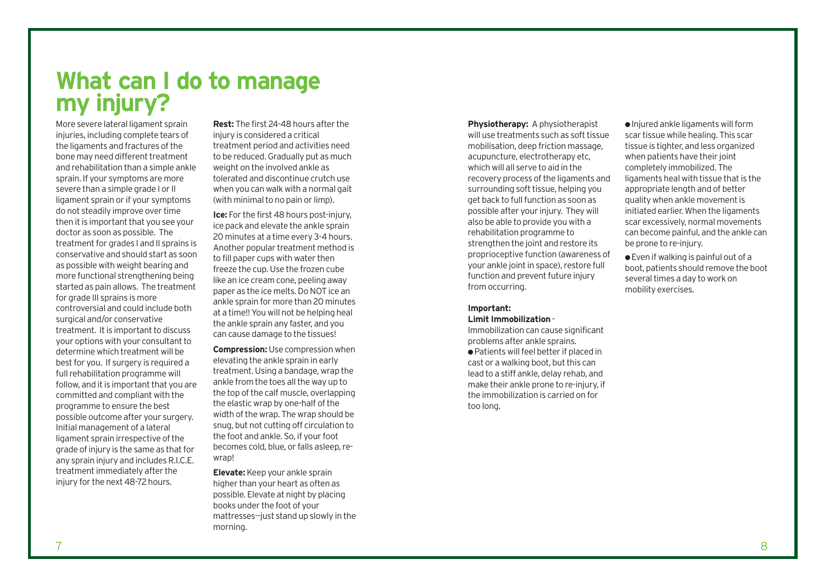**What can I do to manage my injury?**

More severe lateral ligament sprain injuries, including complete tears of the ligaments and fractures of the bone may need different treatment and rehabilitation than a simple ankle sprain. If your symptoms are more severe than a simple grade I or II ligament sprain or if your symptoms do not steadily improve over time then it is important that you see your doctor as soon as possible. The treatment for grades I and II sprains is conservative and should start as soon as possible with weight bearing and more functional strengthening being started as pain allows. The treatment for grade III sprains is more controversial and could include both surgical and/or conservative treatment. It is important to discuss your options with your consultant to determine which treatment will be best for you. If surgery is required a full rehabilitation programme will follow, and it is important that you are committed and compliant with the programme to ensure the best possible outcome after your surgery. Initial management of a lateral ligament sprain irrespective of the grade of injury is the same as that for any sprain injury and includes R.I.C.E. treatment immediately after the injury for the next 48-72 hours.

**Rest:** The first 24-48 hours after the injury is considered a critical treatment period and activities need to be reduced. Gradually put as much weight on the involved ankle as tolerated and discontinue crutch use when you can walk with a normal gait (with minimal to no pain or limp).

**Ice:** For the first 48 hours post-injury, ice pack and elevate the ankle sprain 20 minutes at a time every 3-4 hours. Another popular treatment method is to fill paper cups with water then freeze the cup. Use the frozen cube like an ice cream cone, peeling away paper as the ice melts. Do NOT ice an ankle sprain for more than 20 minutes at a time!! You will not be helping heal the ankle sprain any faster, and you can cause damage to the tissues!

**Compression:** Use compression when elevating the ankle sprain in early treatment. Using a bandage, wrap the ankle from the toes all the way up to the top of the calf muscle, overlapping the elastic wrap by one-half of the width of the wrap. The wrap should be snug, but not cutting off circulation to the foot and ankle. So, if your foot becomes cold, blue, or falls asleep, rewrap!

**Elevate:** Keep your ankle sprain higher than your heart as often as possible. Elevate at night by placing books under the foot of your mattresses--just stand up slowly in the morning.

**Physiotherapy:** A physiotherapist will use treatments such as soft tissue mobilisation, deep friction massage, acupuncture, electrotherapy etc, which will all serve to aid in the recovery process of the ligaments and surrounding soft tissue, helping you get back to full function as soon as possible after your injury. They will also be able to provide you with a rehabilitation programme to strengthen the joint and restore its proprioceptive function (awareness of your ankle joint in space), restore full function and prevent future injury from occurring.

#### **Important: Limit Immobilization** -

Immobilization can cause significant problems after ankle sprains. ● Patients will feel better if placed in cast or a walking boot, but this can lead to a stiff ankle, delay rehab, and make their ankle prone to re-injury, if the immobilization is carried on for too long.

●Injured ankle ligaments will form scar tissue while healing. This scar tissue is tighter, and less organized when patients have their joint completely immobilized. The ligaments heal with tissue that is the appropriate length and of better quality when ankle movement is initiated earlier. When the ligaments scar excessively, normal movements can become painful, and the ankle can be prone to re-injury.

 $\bullet$  Even if walking is painful out of a boot, patients should remove the boot several times a day to work on mobility exercises.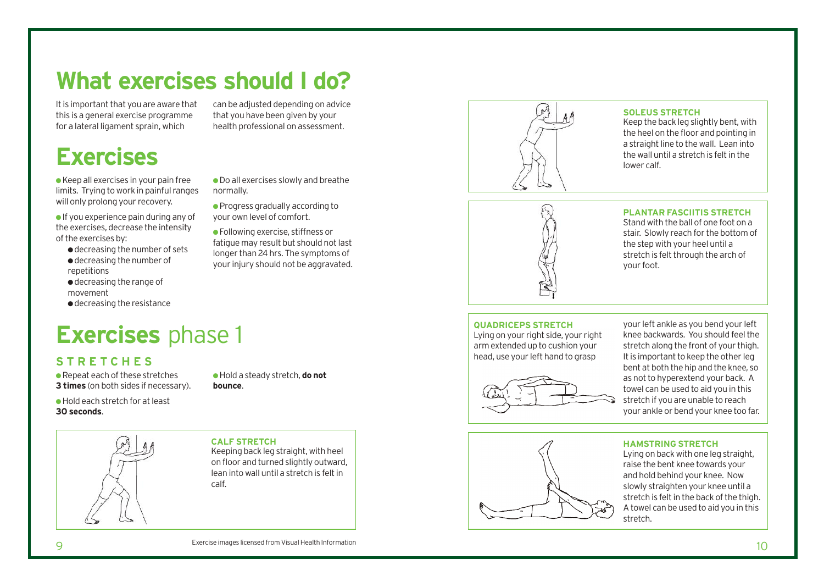## **What exercises should I do?**

normally.

It is important that you are aware that this is a general exercise programme for a lateral ligament sprain, which

## **Exercises**

● Keep all exercises in your pain free limits. Trying to work in painful ranges will only prolong your recovery.

 $\bullet$  If you experience pain during any of the exercises, decrease the intensity of the exercises by:

- decreasing the number of sets ● decreasing the number of repetitions
- decreasing the range of movement
- decreasing the resistance

## **Exercises** phase 1

### **STRETCHES**

● Repeat each of these stretches **3 times** (on both sides if necessary). ● Hold a steady stretch, **do not bounce**.

● Do all exercises slowly and breathe

can be adjusted depending on advice that you have been given by your health professional on assessment.

● Progress gradually according to your own level of comfort. ● Following exercise, stiffness or fatigue may result but should not last longer than 24 hrs. The symptoms of your injury should not be aggravated.

● Hold each stretch for at least **30 seconds**.



**CALF STRETCH**  Keeping back leg straight, with heel on floor and turned slightly outward, lean into wall until a stretch is felt in calf.



#### **SOLEUS STRETCH**

Keep the back leg slightly bent, with the heel on the floor and pointing in a straight line to the wall. Lean into the wall until a stretch is felt in the lower calf.



#### **PLANTAR FASCIITIS STRETCH**

Stand with the ball of one foot on a stair. Slowly reach for the bottom of the step with your heel until a stretch is felt through the arch of your foot.

#### **QUADRICEPS STRETCH**

Lying on your right side, your right arm extended up to cushion your head, use your left hand to grasp



your left ankle as you bend your left knee backwards. You should feel the stretch along the front of your thigh. It is important to keep the other leg bent at both the hip and the knee, so as not to hyperextend your back. A towel can be used to aid you in this stretch if you are unable to reach your ankle or bend your knee too far.



#### **HAMSTRING STRETCH**

Lying on back with one leg straight, raise the bent knee towards your and hold behind your knee. Now slowly straighten your knee until a stretch is felt in the back of the thigh. A towel can be used to aid you in this stretch.

Exercise images licensed from Visual Health Information

10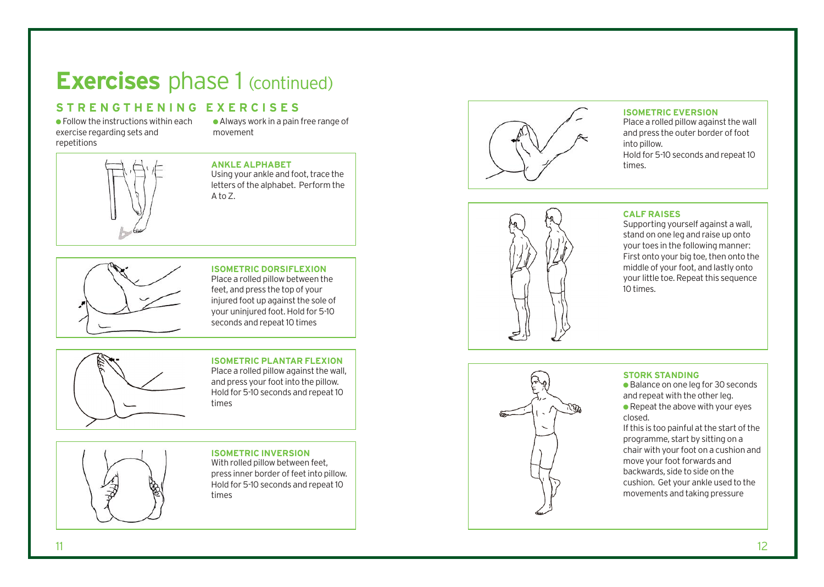### **Exercises** phase 1 (continued)

### **STRENGTHENING EXERCISES**

exercise regarding sets and repetitions

●Always work in a pain free range of movement



#### **ANKLE ALPHABET** Using your ankle and foot, trace the letters of the alphabet. Perform the

 $A$  to  $Z$ 



#### **ISOMETRIC DORSIFLEXION** Place a rolled pillow between the feet, and press the top of your injured foot up against the sole of your uninjured foot. Hold for 5-10

seconds and repeat 10 times

#### **ISOMETRIC PLANTAR FLEXION**

Place a rolled pillow against the wall, and press your foot into the pillow. Hold for 5-10 seconds and repeat 10 times

#### **ISOMETRIC INVERSION**

With rolled pillow between feet, press inner border of feet into pillow. Hold for 5-10 seconds and repeat 10 times



#### **ISOMETRIC EVERSION**

Place a rolled pillow against the wall and press the outer border of foot into pillow. Hold for 5-10 seconds and repeat 10 times.



#### **CALF RAISES**

Supporting yourself against a wall, stand on one leg and raise up onto your toes in the following manner: First onto your big toe, then onto the middle of your foot, and lastly onto your little toe. Repeat this sequence 10 times.



#### **STORK STANDING**

● Balance on one leg for 30 seconds and repeat with the other leg.  $\bullet$  Repeat the above with your eyes closed.

If this is too painful at the s tart of the programme, start by sitting on a chair with your foot on a cushion and move your foot forwards and backwards, side to side on the cushion. Get your ankle used to the movements and taking pressure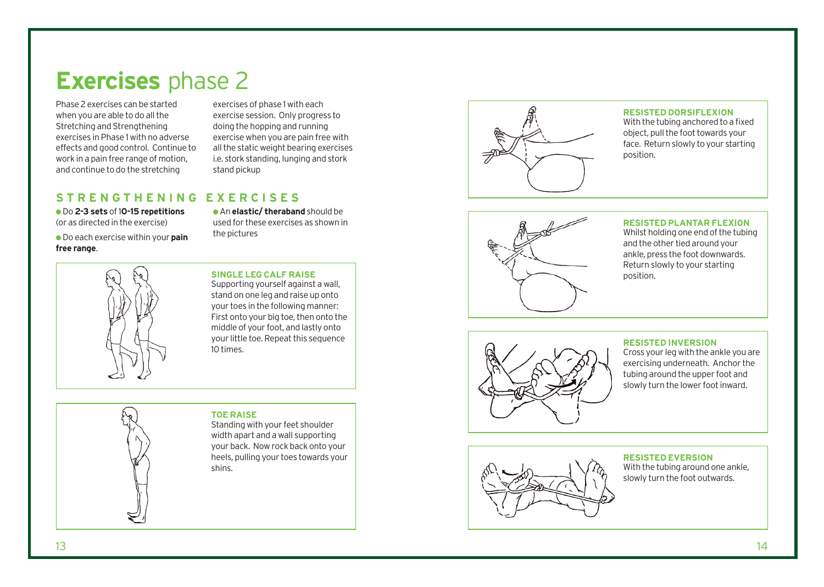### **Exercises** phase 2

Phase 2 exercises can be started when you are able to do all the Stretching and Strengthening exercises in Phase 1 with no adverse effects and good control. Continue to work in a pain free range of motion, and continue to do the stretching

exercises of phase 1 with each exercise session. Only progress to doing the hopping and running exercise when you are pain free with all the static weight bearing exercises i.e. stork standing, lunging and stork stand pickup

### **STRENGTHENING EXERCISES**

● Do **2-3 sets** of 1**0-15 repetitions** (or as directed in the exercise)

● Do each exercise within your **pain free range** .

● An **elastic/ theraband** should be used for these exercises as shown in the pictures

#### **SINGLE LEG CALF RAISE**

Supporting yourself against a wall, stand on one leg and raise up onto your toes in the following manner: Fir st on to your big toe, then onto the middle of your foot, and lastly onto your little toe. Repeat this sequence 10 times.

#### **TOE RAISE**

Standing with your feet shoulder width apart and a wall supporting your back. Now rock back onto your heels, pulling your toes towards your shins.



#### **RESISTED DORSIFLEXION**

With the tubing anchored to a fixed object, pull the foot towards your face. Return slowly to your starting position.



#### **RESISTED PLANTAR FLEXION**

Whilst holding one end of the tubing and the other tied around your ankle, press the foot downwards. Return slowly to your starting position.



#### **RESISTED INVERSION**

Cr o ss your leg with the ankle you ar e exercising underneath. Anchor the tubing around the upper foot and slowly turn the lower foot inward.



#### **RESISTED EVERSION**

With the tubing around one ankle, slowly turn the foot outwards.

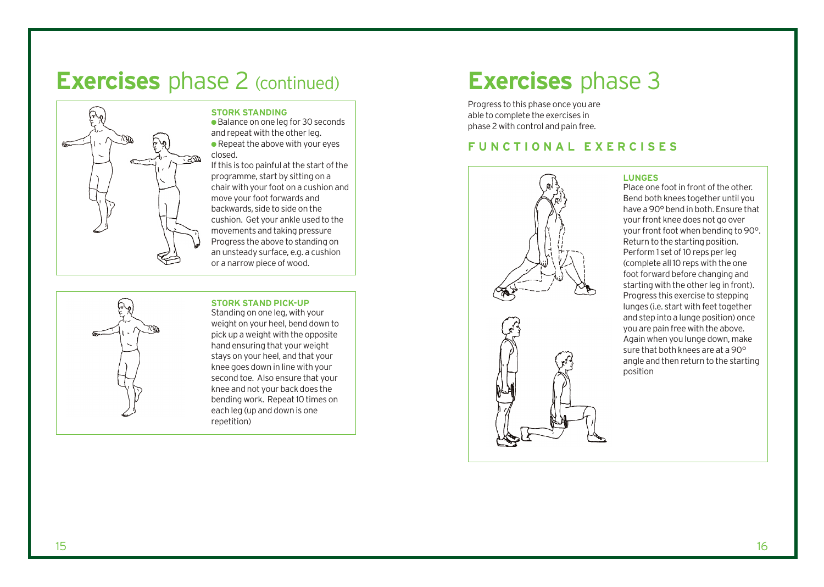### **Exercises** phase 2 (continued)



#### **STORK STANDING**

● Balance on one leg for 30 seconds and repeat with the other leg.  $\bullet$  Repeat the above with your eyes closed.

If this is too painful at the start of the programme, start by sitting on a chair with your foot on a cushion and move your foot forwards and backwards, side to side on the cushion. Get your ankle used to the movements and taking pressure Progress the above to standing on an unsteady surface, e.g. a cushion or a narrow piece of wood.

#### **STORK STAND PICK-UP**

Standing on one leg, with your weight on your heel, bend down to pick up a weight with the opposite hand ensuring that your weight stays on your heel, and that your knee goes down in line with your second toe. Also ensure that your knee and not your back does the bending work. Repeat 10 times on each leg (up and down is one repetition)

### **Exercises** phase 3

Progress to this phase once you are able to complete the exercises in phase 2 with control and pain free.

#### **FUNCTIONAL EXERCISES**



#### **LUNGES**

Place one foot in front of the other. Bend both knees together until you have a 90° bend in both. Ensure that your front knee does not go over your front foot when bending to 90°. Return to the starting position. Perform 1 set of 10 reps per leg (complete all 10 reps with the one foot forward before changing and starting with the other leg in front). Progress this exercise to stepping lunges (i.e. start with feet together and step into a lunge position) once you are pain free with the above. Again when you lunge down, make sure that both knees are at a 90° angle and then return to the starting position